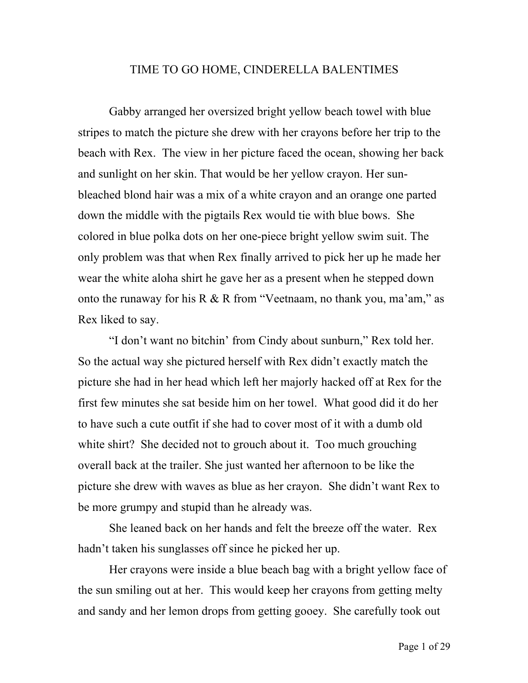## TIME TO GO HOME, CINDERELLA BALENTIMES

Gabby arranged her oversized bright yellow beach towel with blue stripes to match the picture she drew with her crayons before her trip to the beach with Rex. The view in her picture faced the ocean, showing her back and sunlight on her skin. That would be her yellow crayon. Her sunbleached blond hair was a mix of a white crayon and an orange one parted down the middle with the pigtails Rex would tie with blue bows. She colored in blue polka dots on her one-piece bright yellow swim suit. The only problem was that when Rex finally arrived to pick her up he made her wear the white aloha shirt he gave her as a present when he stepped down onto the runaway for his R & R from "Veetnaam, no thank you, ma'am," as Rex liked to say.

"I don't want no bitchin' from Cindy about sunburn," Rex told her. So the actual way she pictured herself with Rex didn't exactly match the picture she had in her head which left her majorly hacked off at Rex for the first few minutes she sat beside him on her towel. What good did it do her to have such a cute outfit if she had to cover most of it with a dumb old white shirt? She decided not to grouch about it. Too much grouching overall back at the trailer. She just wanted her afternoon to be like the picture she drew with waves as blue as her crayon. She didn't want Rex to be more grumpy and stupid than he already was.

She leaned back on her hands and felt the breeze off the water. Rex hadn't taken his sunglasses off since he picked her up.

Her crayons were inside a blue beach bag with a bright yellow face of the sun smiling out at her. This would keep her crayons from getting melty and sandy and her lemon drops from getting gooey. She carefully took out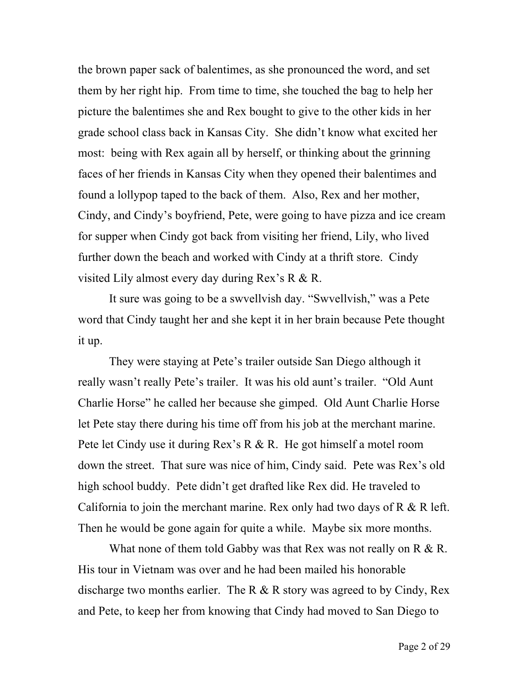the brown paper sack of balentimes, as she pronounced the word, and set them by her right hip. From time to time, she touched the bag to help her picture the balentimes she and Rex bought to give to the other kids in her grade school class back in Kansas City. She didn't know what excited her most: being with Rex again all by herself, or thinking about the grinning faces of her friends in Kansas City when they opened their balentimes and found a lollypop taped to the back of them. Also, Rex and her mother, Cindy, and Cindy's boyfriend, Pete, were going to have pizza and ice cream for supper when Cindy got back from visiting her friend, Lily, who lived further down the beach and worked with Cindy at a thrift store. Cindy visited Lily almost every day during Rex's R & R.

It sure was going to be a swvellvish day. "Swvellvish," was a Pete word that Cindy taught her and she kept it in her brain because Pete thought it up.

They were staying at Pete's trailer outside San Diego although it really wasn't really Pete's trailer. It was his old aunt's trailer. "Old Aunt Charlie Horse" he called her because she gimped. Old Aunt Charlie Horse let Pete stay there during his time off from his job at the merchant marine. Pete let Cindy use it during Rex's R & R. He got himself a motel room down the street. That sure was nice of him, Cindy said. Pete was Rex's old high school buddy. Pete didn't get drafted like Rex did. He traveled to California to join the merchant marine. Rex only had two days of  $R \& R$  left. Then he would be gone again for quite a while. Maybe six more months.

What none of them told Gabby was that Rex was not really on R & R. His tour in Vietnam was over and he had been mailed his honorable discharge two months earlier. The R  $\&$  R story was agreed to by Cindy, Rex and Pete, to keep her from knowing that Cindy had moved to San Diego to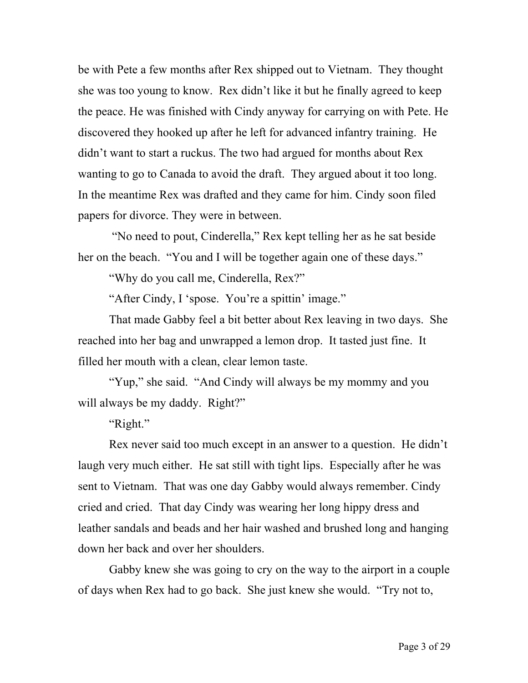be with Pete a few months after Rex shipped out to Vietnam. They thought she was too young to know. Rex didn't like it but he finally agreed to keep the peace. He was finished with Cindy anyway for carrying on with Pete. He discovered they hooked up after he left for advanced infantry training. He didn't want to start a ruckus. The two had argued for months about Rex wanting to go to Canada to avoid the draft. They argued about it too long. In the meantime Rex was drafted and they came for him. Cindy soon filed papers for divorce. They were in between.

"No need to pout, Cinderella," Rex kept telling her as he sat beside her on the beach. "You and I will be together again one of these days."

"Why do you call me, Cinderella, Rex?"

"After Cindy, I 'spose. You're a spittin' image."

That made Gabby feel a bit better about Rex leaving in two days. She reached into her bag and unwrapped a lemon drop. It tasted just fine. It filled her mouth with a clean, clear lemon taste.

"Yup," she said. "And Cindy will always be my mommy and you will always be my daddy. Right?"

"Right."

Rex never said too much except in an answer to a question. He didn't laugh very much either. He sat still with tight lips. Especially after he was sent to Vietnam. That was one day Gabby would always remember. Cindy cried and cried. That day Cindy was wearing her long hippy dress and leather sandals and beads and her hair washed and brushed long and hanging down her back and over her shoulders.

Gabby knew she was going to cry on the way to the airport in a couple of days when Rex had to go back. She just knew she would. "Try not to,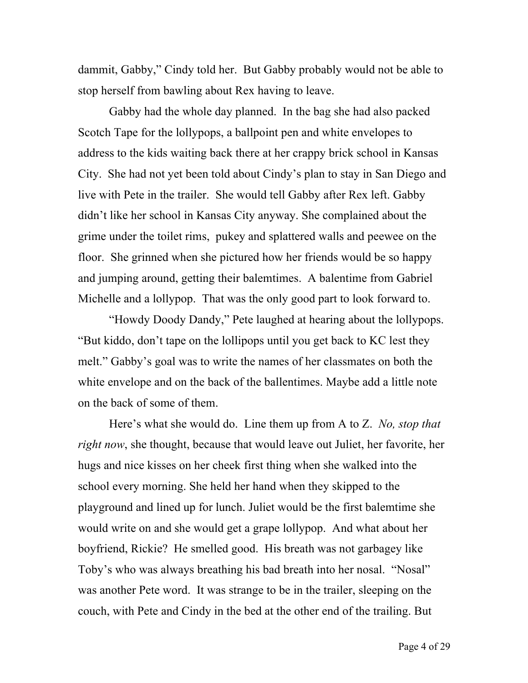dammit, Gabby," Cindy told her. But Gabby probably would not be able to stop herself from bawling about Rex having to leave.

Gabby had the whole day planned. In the bag she had also packed Scotch Tape for the lollypops, a ballpoint pen and white envelopes to address to the kids waiting back there at her crappy brick school in Kansas City. She had not yet been told about Cindy's plan to stay in San Diego and live with Pete in the trailer. She would tell Gabby after Rex left. Gabby didn't like her school in Kansas City anyway. She complained about the grime under the toilet rims, pukey and splattered walls and peewee on the floor. She grinned when she pictured how her friends would be so happy and jumping around, getting their balemtimes. A balentime from Gabriel Michelle and a lollypop. That was the only good part to look forward to.

"Howdy Doody Dandy," Pete laughed at hearing about the lollypops. "But kiddo, don't tape on the lollipops until you get back to KC lest they melt." Gabby's goal was to write the names of her classmates on both the white envelope and on the back of the ballentimes. Maybe add a little note on the back of some of them.

Here's what she would do. Line them up from A to Z. *No, stop that right now*, she thought, because that would leave out Juliet, her favorite, her hugs and nice kisses on her cheek first thing when she walked into the school every morning. She held her hand when they skipped to the playground and lined up for lunch. Juliet would be the first balemtime she would write on and she would get a grape lollypop. And what about her boyfriend, Rickie? He smelled good. His breath was not garbagey like Toby's who was always breathing his bad breath into her nosal. "Nosal" was another Pete word. It was strange to be in the trailer, sleeping on the couch, with Pete and Cindy in the bed at the other end of the trailing. But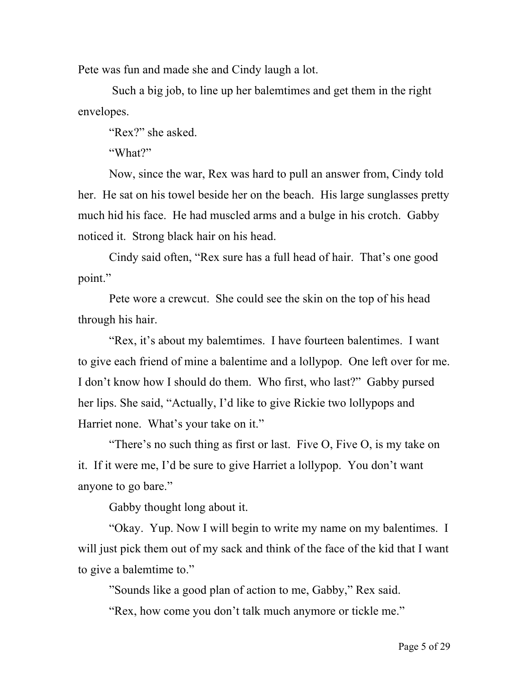Pete was fun and made she and Cindy laugh a lot.

Such a big job, to line up her balemtimes and get them in the right envelopes.

"Rex?" she asked.

"What?"

Now, since the war, Rex was hard to pull an answer from, Cindy told her. He sat on his towel beside her on the beach. His large sunglasses pretty much hid his face. He had muscled arms and a bulge in his crotch. Gabby noticed it. Strong black hair on his head.

Cindy said often, "Rex sure has a full head of hair. That's one good point."

Pete wore a crewcut. She could see the skin on the top of his head through his hair.

"Rex, it's about my balemtimes. I have fourteen balentimes. I want to give each friend of mine a balentime and a lollypop. One left over for me. I don't know how I should do them. Who first, who last?" Gabby pursed her lips. She said, "Actually, I'd like to give Rickie two lollypops and Harriet none. What's your take on it."

"There's no such thing as first or last. Five O, Five O, is my take on it. If it were me, I'd be sure to give Harriet a lollypop. You don't want anyone to go bare."

Gabby thought long about it.

"Okay. Yup. Now I will begin to write my name on my balentimes. I will just pick them out of my sack and think of the face of the kid that I want to give a balemtime to."

"Sounds like a good plan of action to me, Gabby," Rex said.

"Rex, how come you don't talk much anymore or tickle me."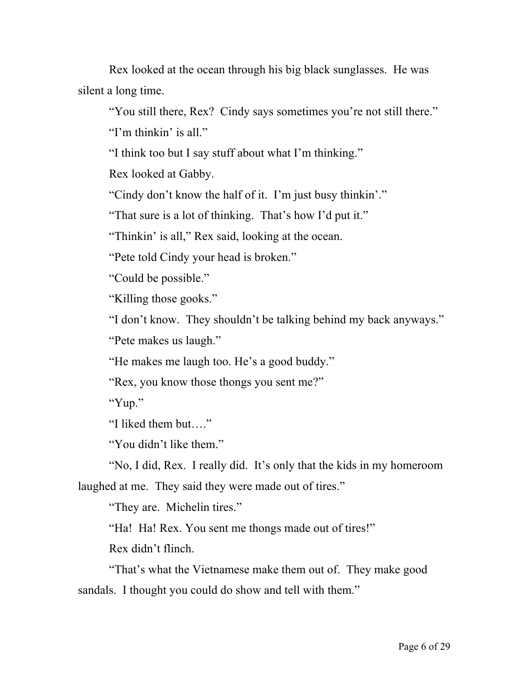Rex looked at the ocean through his big black sunglasses. He was silent a long time.

"You still there, Rex? Cindy says sometimes you're not still there."

"I'm thinkin' is all."

"I think too but I say stuff about what I'm thinking."

Rex looked at Gabby.

"Cindy don't know the half of it. I'm just busy thinkin'."

"That sure is a lot of thinking. That's how I'd put it."

"Thinkin' is all," Rex said, looking at the ocean.

"Pete told Cindy your head is broken."

"Could be possible."

"Killing those gooks."

"I don't know. They shouldn't be talking behind my back anyways."

"Pete makes us laugh."

"He makes me laugh too. He's a good buddy."

"Rex, you know those thongs you sent me?"

"Yup."

"I liked them but…."

"You didn't like them."

"No, I did, Rex. I really did. It's only that the kids in my homeroom laughed at me. They said they were made out of tires."

"They are. Michelin tires."

"Ha! Ha! Rex. You sent me thongs made out of tires!"

Rex didn't flinch.

"That's what the Vietnamese make them out of. They make good sandals. I thought you could do show and tell with them."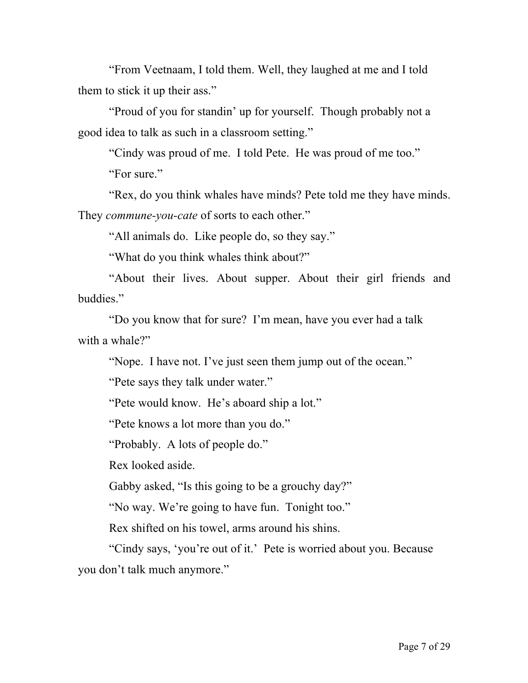"From Veetnaam, I told them. Well, they laughed at me and I told them to stick it up their ass."

"Proud of you for standin' up for yourself. Though probably not a good idea to talk as such in a classroom setting."

"Cindy was proud of me. I told Pete. He was proud of me too."

"For sure."

"Rex, do you think whales have minds? Pete told me they have minds. They *commune-you-cate* of sorts to each other."

"All animals do. Like people do, so they say."

"What do you think whales think about?"

"About their lives. About supper. About their girl friends and buddies."

"Do you know that for sure? I'm mean, have you ever had a talk with a whale?"

"Nope. I have not. I've just seen them jump out of the ocean."

"Pete says they talk under water."

"Pete would know. He's aboard ship a lot."

"Pete knows a lot more than you do."

"Probably. A lots of people do."

Rex looked aside.

Gabby asked, "Is this going to be a grouchy day?"

"No way. We're going to have fun. Tonight too."

Rex shifted on his towel, arms around his shins.

"Cindy says, 'you're out of it.' Pete is worried about you. Because you don't talk much anymore."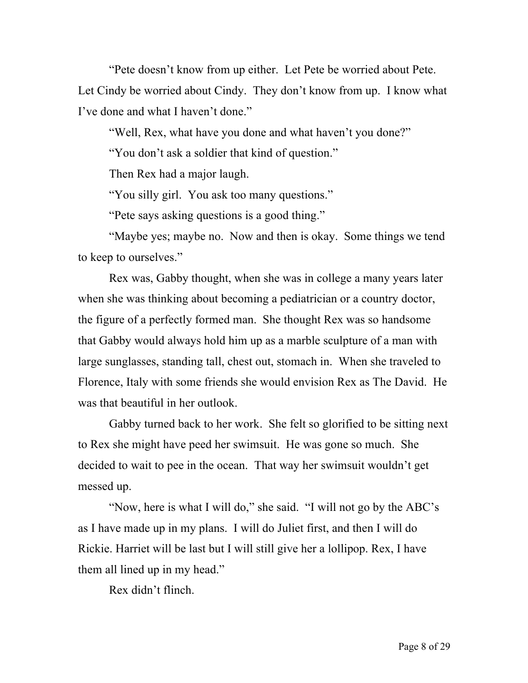"Pete doesn't know from up either. Let Pete be worried about Pete. Let Cindy be worried about Cindy. They don't know from up. I know what I've done and what I haven't done."

"Well, Rex, what have you done and what haven't you done?"

"You don't ask a soldier that kind of question."

Then Rex had a major laugh.

"You silly girl. You ask too many questions."

"Pete says asking questions is a good thing."

"Maybe yes; maybe no. Now and then is okay. Some things we tend to keep to ourselves."

Rex was, Gabby thought, when she was in college a many years later when she was thinking about becoming a pediatrician or a country doctor, the figure of a perfectly formed man. She thought Rex was so handsome that Gabby would always hold him up as a marble sculpture of a man with large sunglasses, standing tall, chest out, stomach in. When she traveled to Florence, Italy with some friends she would envision Rex as The David. He was that beautiful in her outlook.

Gabby turned back to her work. She felt so glorified to be sitting next to Rex she might have peed her swimsuit. He was gone so much. She decided to wait to pee in the ocean. That way her swimsuit wouldn't get messed up.

"Now, here is what I will do," she said. "I will not go by the ABC's as I have made up in my plans. I will do Juliet first, and then I will do Rickie. Harriet will be last but I will still give her a lollipop. Rex, I have them all lined up in my head."

Rex didn't flinch.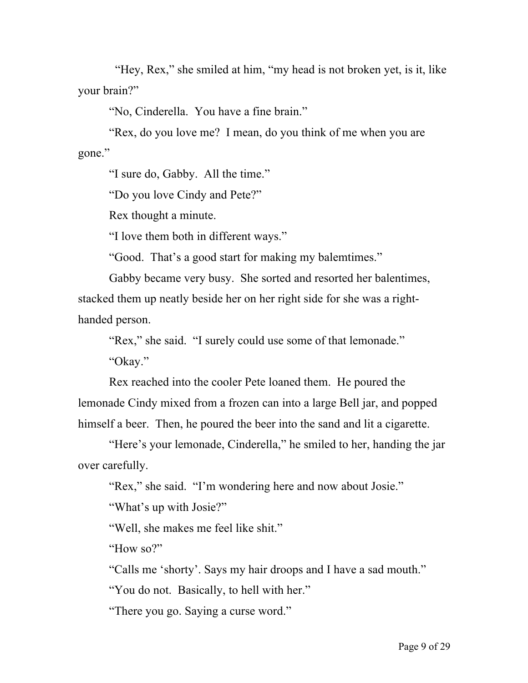"Hey, Rex," she smiled at him, "my head is not broken yet, is it, like your brain?"

"No, Cinderella. You have a fine brain."

"Rex, do you love me? I mean, do you think of me when you are gone."

"I sure do, Gabby. All the time."

"Do you love Cindy and Pete?"

Rex thought a minute.

"I love them both in different ways."

"Good. That's a good start for making my balemtimes."

Gabby became very busy. She sorted and resorted her balentimes, stacked them up neatly beside her on her right side for she was a righthanded person.

"Rex," she said. "I surely could use some of that lemonade."

"Okay."

Rex reached into the cooler Pete loaned them. He poured the lemonade Cindy mixed from a frozen can into a large Bell jar, and popped himself a beer. Then, he poured the beer into the sand and lit a cigarette.

"Here's your lemonade, Cinderella," he smiled to her, handing the jar over carefully.

"Rex," she said. "I'm wondering here and now about Josie."

"What's up with Josie?"

"Well, she makes me feel like shit."

"How so?"

"Calls me 'shorty'. Says my hair droops and I have a sad mouth."

"You do not. Basically, to hell with her."

"There you go. Saying a curse word."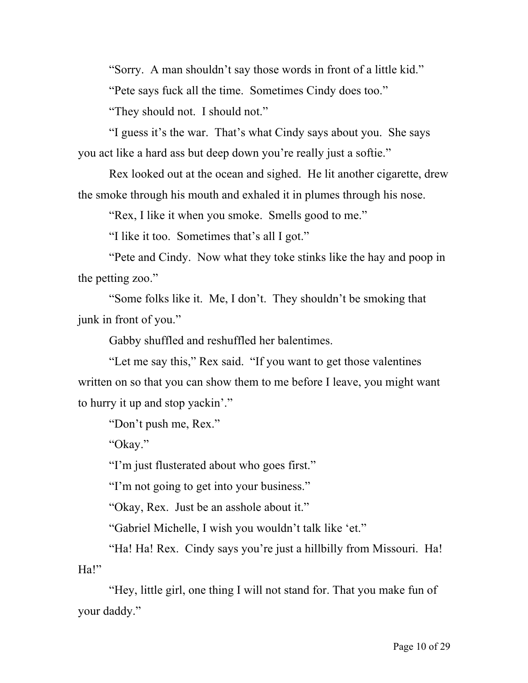"Sorry. A man shouldn't say those words in front of a little kid."

"Pete says fuck all the time. Sometimes Cindy does too."

"They should not. I should not."

"I guess it's the war. That's what Cindy says about you. She says you act like a hard ass but deep down you're really just a softie."

Rex looked out at the ocean and sighed. He lit another cigarette, drew the smoke through his mouth and exhaled it in plumes through his nose.

"Rex, I like it when you smoke. Smells good to me."

"I like it too. Sometimes that's all I got."

"Pete and Cindy. Now what they toke stinks like the hay and poop in the petting zoo."

"Some folks like it. Me, I don't. They shouldn't be smoking that junk in front of you."

Gabby shuffled and reshuffled her balentimes.

"Let me say this," Rex said. "If you want to get those valentines written on so that you can show them to me before I leave, you might want to hurry it up and stop yackin'."

"Don't push me, Rex."

"Okay."

"I'm just flusterated about who goes first."

"I'm not going to get into your business."

"Okay, Rex. Just be an asshole about it."

"Gabriel Michelle, I wish you wouldn't talk like 'et."

"Ha! Ha! Rex. Cindy says you're just a hillbilly from Missouri. Ha! Ha!"

"Hey, little girl, one thing I will not stand for. That you make fun of your daddy."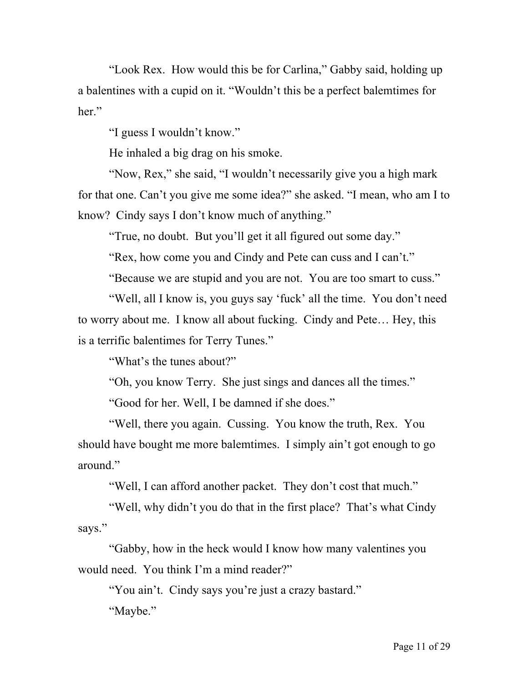"Look Rex. How would this be for Carlina," Gabby said, holding up a balentines with a cupid on it. "Wouldn't this be a perfect balemtimes for her."

"I guess I wouldn't know."

He inhaled a big drag on his smoke.

"Now, Rex," she said, "I wouldn't necessarily give you a high mark for that one. Can't you give me some idea?" she asked. "I mean, who am I to know? Cindy says I don't know much of anything."

"True, no doubt. But you'll get it all figured out some day."

"Rex, how come you and Cindy and Pete can cuss and I can't."

"Because we are stupid and you are not. You are too smart to cuss."

"Well, all I know is, you guys say 'fuck' all the time. You don't need to worry about me. I know all about fucking. Cindy and Pete… Hey, this is a terrific balentimes for Terry Tunes."

"What's the tunes about?"

"Oh, you know Terry. She just sings and dances all the times."

"Good for her. Well, I be damned if she does."

"Well, there you again. Cussing. You know the truth, Rex. You should have bought me more balemtimes. I simply ain't got enough to go around."

"Well, I can afford another packet. They don't cost that much."

"Well, why didn't you do that in the first place? That's what Cindy says."

"Gabby, how in the heck would I know how many valentines you would need. You think I'm a mind reader?"

"You ain't. Cindy says you're just a crazy bastard." "Maybe."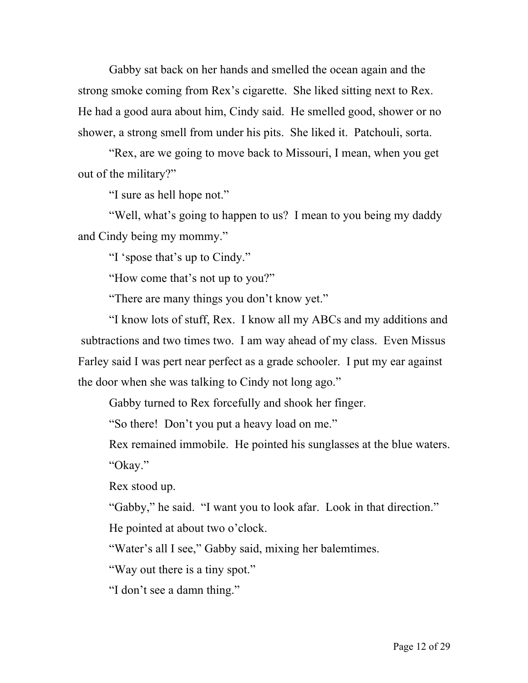Gabby sat back on her hands and smelled the ocean again and the strong smoke coming from Rex's cigarette. She liked sitting next to Rex. He had a good aura about him, Cindy said. He smelled good, shower or no shower, a strong smell from under his pits. She liked it. Patchouli, sorta.

"Rex, are we going to move back to Missouri, I mean, when you get out of the military?"

"I sure as hell hope not."

"Well, what's going to happen to us? I mean to you being my daddy and Cindy being my mommy."

"I 'spose that's up to Cindy."

"How come that's not up to you?"

"There are many things you don't know yet."

"I know lots of stuff, Rex. I know all my ABCs and my additions and subtractions and two times two. I am way ahead of my class. Even Missus Farley said I was pert near perfect as a grade schooler. I put my ear against the door when she was talking to Cindy not long ago."

Gabby turned to Rex forcefully and shook her finger.

"So there! Don't you put a heavy load on me."

Rex remained immobile. He pointed his sunglasses at the blue waters. "Okay."

Rex stood up.

"Gabby," he said. "I want you to look afar. Look in that direction."

He pointed at about two o'clock.

"Water's all I see," Gabby said, mixing her balemtimes.

"Way out there is a tiny spot."

"I don't see a damn thing."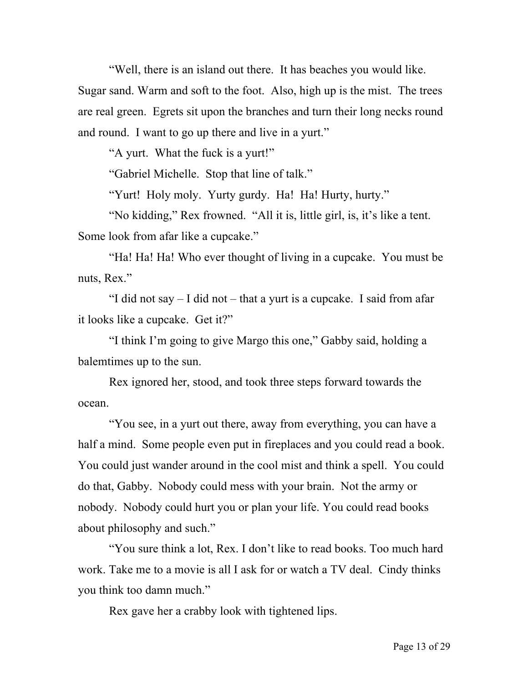"Well, there is an island out there. It has beaches you would like.

Sugar sand. Warm and soft to the foot. Also, high up is the mist. The trees are real green. Egrets sit upon the branches and turn their long necks round and round. I want to go up there and live in a yurt."

"A yurt. What the fuck is a yurt!"

"Gabriel Michelle. Stop that line of talk."

"Yurt! Holy moly. Yurty gurdy. Ha! Ha! Hurty, hurty."

"No kidding," Rex frowned. "All it is, little girl, is, it's like a tent. Some look from afar like a cupcake."

"Ha! Ha! Ha! Who ever thought of living in a cupcake. You must be nuts, Rex."

"I did not say – I did not – that a yurt is a cupcake. I said from afar it looks like a cupcake. Get it?"

"I think I'm going to give Margo this one," Gabby said, holding a balemtimes up to the sun.

Rex ignored her, stood, and took three steps forward towards the ocean.

"You see, in a yurt out there, away from everything, you can have a half a mind. Some people even put in fireplaces and you could read a book. You could just wander around in the cool mist and think a spell. You could do that, Gabby. Nobody could mess with your brain. Not the army or nobody. Nobody could hurt you or plan your life. You could read books about philosophy and such."

"You sure think a lot, Rex. I don't like to read books. Too much hard work. Take me to a movie is all I ask for or watch a TV deal. Cindy thinks you think too damn much."

Rex gave her a crabby look with tightened lips.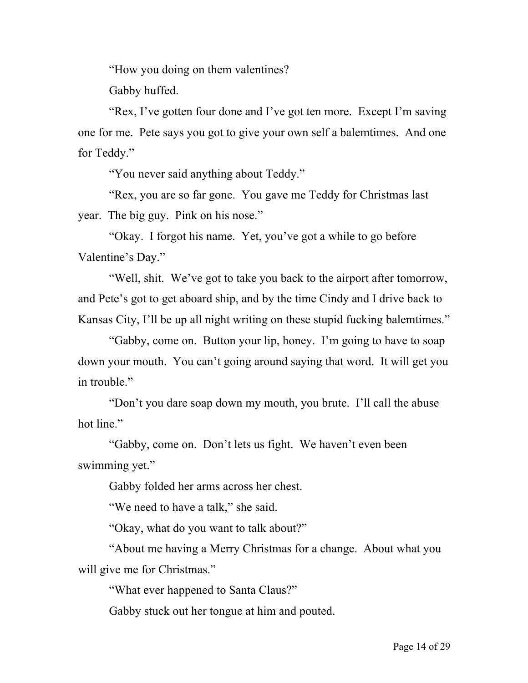"How you doing on them valentines?

Gabby huffed.

"Rex, I've gotten four done and I've got ten more. Except I'm saving one for me. Pete says you got to give your own self a balemtimes. And one for Teddy."

"You never said anything about Teddy."

"Rex, you are so far gone. You gave me Teddy for Christmas last year. The big guy. Pink on his nose."

"Okay. I forgot his name. Yet, you've got a while to go before Valentine's Day."

"Well, shit. We've got to take you back to the airport after tomorrow, and Pete's got to get aboard ship, and by the time Cindy and I drive back to Kansas City, I'll be up all night writing on these stupid fucking balemtimes."

"Gabby, come on. Button your lip, honey. I'm going to have to soap down your mouth. You can't going around saying that word. It will get you in trouble."

"Don't you dare soap down my mouth, you brute. I'll call the abuse hot line."

"Gabby, come on. Don't lets us fight. We haven't even been swimming yet."

Gabby folded her arms across her chest.

"We need to have a talk," she said.

"Okay, what do you want to talk about?"

"About me having a Merry Christmas for a change. About what you will give me for Christmas."

"What ever happened to Santa Claus?"

Gabby stuck out her tongue at him and pouted.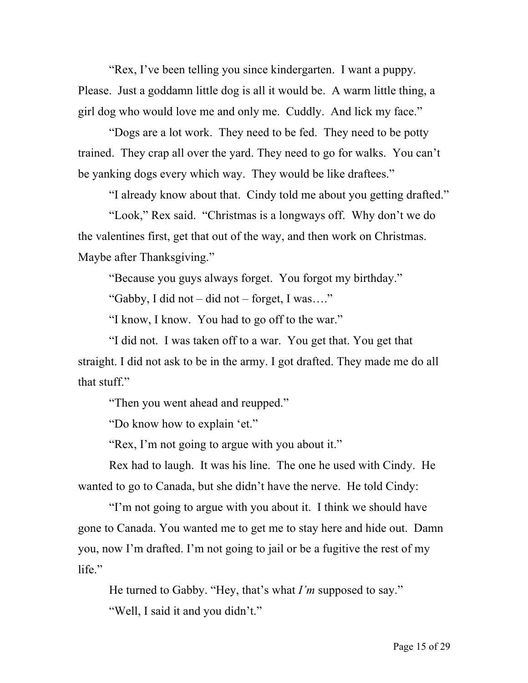"Rex, I've been telling you since kindergarten. I want a puppy. Please. Just a goddamn little dog is all it would be. A warm little thing, a girl dog who would love me and only me. Cuddly. And lick my face."

"Dogs are a lot work. They need to be fed. They need to be potty trained. They crap all over the yard. They need to go for walks. You can't be yanking dogs every which way. They would be like draftees."

"I already know about that. Cindy told me about you getting drafted."

"Look," Rex said. "Christmas is a longways off. Why don't we do the valentines first, get that out of the way, and then work on Christmas. Maybe after Thanksgiving."

"Because you guys always forget. You forgot my birthday."

"Gabby, I did not – did not – forget, I was…."

"I know, I know. You had to go off to the war."

"I did not. I was taken off to a war. You get that. You get that straight. I did not ask to be in the army. I got drafted. They made me do all that stuff."

"Then you went ahead and reupped."

"Do know how to explain 'et."

"Rex, I'm not going to argue with you about it."

Rex had to laugh. It was his line. The one he used with Cindy. He wanted to go to Canada, but she didn't have the nerve. He told Cindy:

"I'm not going to argue with you about it. I think we should have gone to Canada. You wanted me to get me to stay here and hide out. Damn you, now I'm drafted. I'm not going to jail or be a fugitive the rest of my life."

He turned to Gabby. "Hey, that's what *I'm* supposed to say." "Well, I said it and you didn't."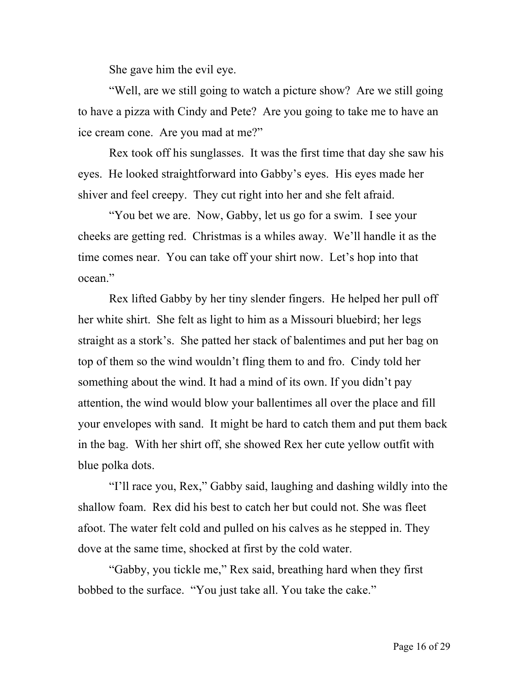She gave him the evil eye.

"Well, are we still going to watch a picture show? Are we still going to have a pizza with Cindy and Pete? Are you going to take me to have an ice cream cone. Are you mad at me?"

Rex took off his sunglasses. It was the first time that day she saw his eyes. He looked straightforward into Gabby's eyes. His eyes made her shiver and feel creepy. They cut right into her and she felt afraid.

"You bet we are. Now, Gabby, let us go for a swim. I see your cheeks are getting red. Christmas is a whiles away. We'll handle it as the time comes near. You can take off your shirt now. Let's hop into that ocean<sup>"</sup>

Rex lifted Gabby by her tiny slender fingers. He helped her pull off her white shirt. She felt as light to him as a Missouri bluebird; her legs straight as a stork's. She patted her stack of balentimes and put her bag on top of them so the wind wouldn't fling them to and fro. Cindy told her something about the wind. It had a mind of its own. If you didn't pay attention, the wind would blow your ballentimes all over the place and fill your envelopes with sand. It might be hard to catch them and put them back in the bag. With her shirt off, she showed Rex her cute yellow outfit with blue polka dots.

"I'll race you, Rex," Gabby said, laughing and dashing wildly into the shallow foam. Rex did his best to catch her but could not. She was fleet afoot. The water felt cold and pulled on his calves as he stepped in. They dove at the same time, shocked at first by the cold water.

"Gabby, you tickle me," Rex said, breathing hard when they first bobbed to the surface. "You just take all. You take the cake."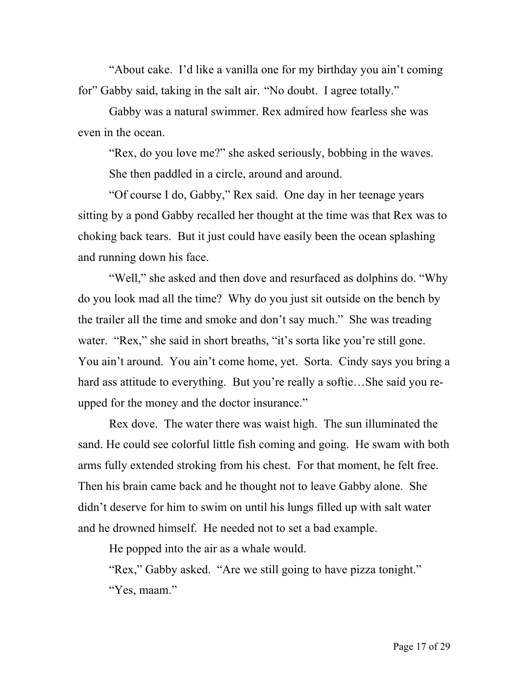"About cake. I'd like a vanilla one for my birthday you ain't coming for" Gabby said, taking in the salt air. "No doubt. I agree totally."

Gabby was a natural swimmer. Rex admired how fearless she was even in the ocean.

"Rex, do you love me?" she asked seriously, bobbing in the waves. She then paddled in a circle, around and around.

"Of course I do, Gabby," Rex said. One day in her teenage years sitting by a pond Gabby recalled her thought at the time was that Rex was to choking back tears. But it just could have easily been the ocean splashing and running down his face.

"Well," she asked and then dove and resurfaced as dolphins do. "Why do you look mad all the time? Why do you just sit outside on the bench by the trailer all the time and smoke and don't say much." She was treading water. "Rex," she said in short breaths, "it's sorta like you're still gone. You ain't around. You ain't come home, yet. Sorta. Cindy says you bring a hard ass attitude to everything. But you're really a softie…She said you reupped for the money and the doctor insurance."

Rex dove. The water there was waist high. The sun illuminated the sand. He could see colorful little fish coming and going. He swam with both arms fully extended stroking from his chest. For that moment, he felt free. Then his brain came back and he thought not to leave Gabby alone. She didn't deserve for him to swim on until his lungs filled up with salt water and he drowned himself. He needed not to set a bad example.

He popped into the air as a whale would.

"Rex," Gabby asked. "Are we still going to have pizza tonight." "Yes, maam."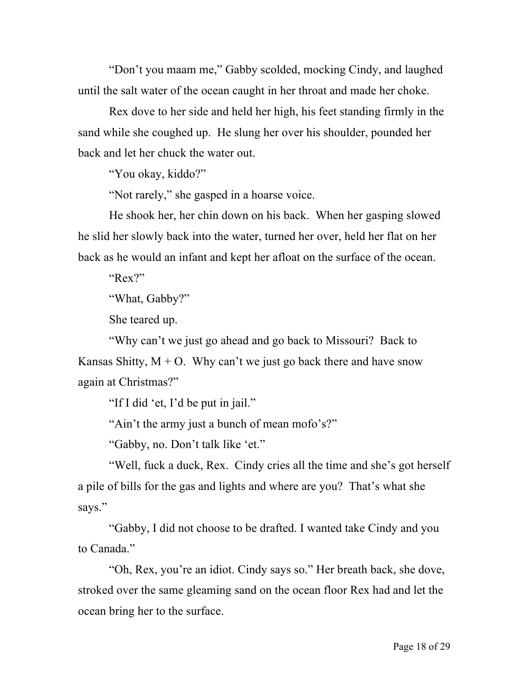"Don't you maam me," Gabby scolded, mocking Cindy, and laughed until the salt water of the ocean caught in her throat and made her choke.

Rex dove to her side and held her high, his feet standing firmly in the sand while she coughed up. He slung her over his shoulder, pounded her back and let her chuck the water out.

"You okay, kiddo?"

"Not rarely," she gasped in a hoarse voice.

He shook her, her chin down on his back. When her gasping slowed he slid her slowly back into the water, turned her over, held her flat on her back as he would an infant and kept her afloat on the surface of the ocean.

"Rex?"

"What, Gabby?"

She teared up.

"Why can't we just go ahead and go back to Missouri? Back to Kansas Shitty,  $M + O$ . Why can't we just go back there and have snow again at Christmas?"

"If I did 'et, I'd be put in jail."

"Ain't the army just a bunch of mean mofo's?"

"Gabby, no. Don't talk like 'et."

"Well, fuck a duck, Rex. Cindy cries all the time and she's got herself a pile of bills for the gas and lights and where are you? That's what she says."

"Gabby, I did not choose to be drafted. I wanted take Cindy and you to Canada."

"Oh, Rex, you're an idiot. Cindy says so." Her breath back, she dove, stroked over the same gleaming sand on the ocean floor Rex had and let the ocean bring her to the surface.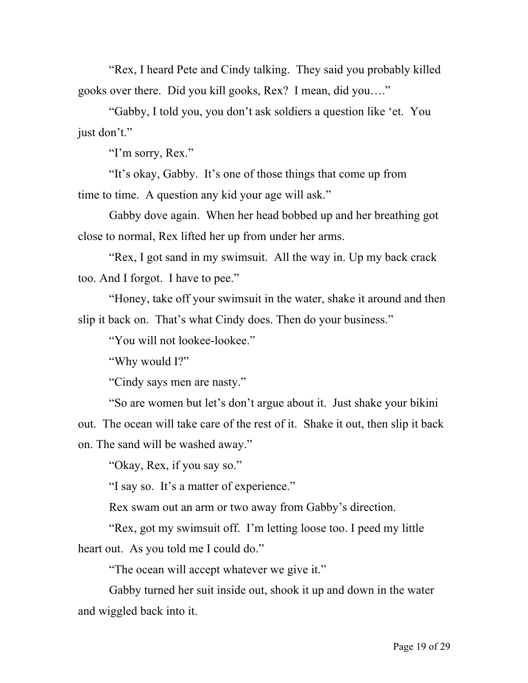"Rex, I heard Pete and Cindy talking. They said you probably killed gooks over there. Did you kill gooks, Rex? I mean, did you…."

"Gabby, I told you, you don't ask soldiers a question like 'et. You just don't."

"I'm sorry, Rex."

"It's okay, Gabby. It's one of those things that come up from time to time. A question any kid your age will ask."

Gabby dove again. When her head bobbed up and her breathing got close to normal, Rex lifted her up from under her arms.

"Rex, I got sand in my swimsuit. All the way in. Up my back crack too. And I forgot. I have to pee."

"Honey, take off your swimsuit in the water, shake it around and then slip it back on. That's what Cindy does. Then do your business."

"You will not lookee-lookee."

"Why would I?"

"Cindy says men are nasty."

"So are women but let's don't argue about it. Just shake your bikini out. The ocean will take care of the rest of it. Shake it out, then slip it back on. The sand will be washed away."

"Okay, Rex, if you say so."

"I say so. It's a matter of experience."

Rex swam out an arm or two away from Gabby's direction.

"Rex, got my swimsuit off. I'm letting loose too. I peed my little heart out. As you told me I could do."

"The ocean will accept whatever we give it."

Gabby turned her suit inside out, shook it up and down in the water and wiggled back into it.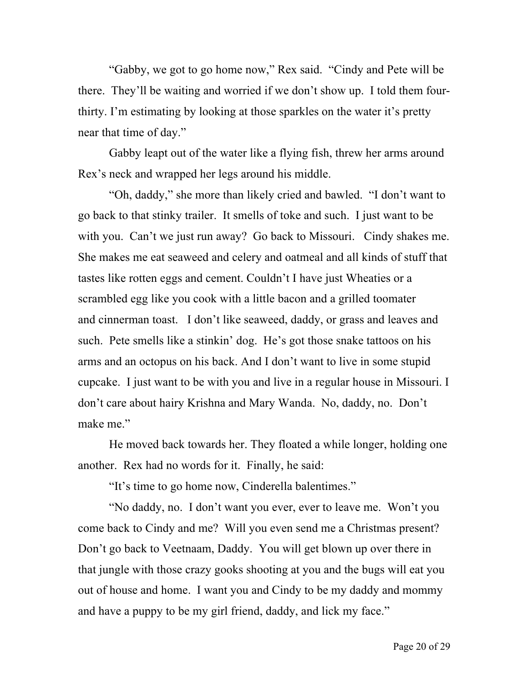"Gabby, we got to go home now," Rex said. "Cindy and Pete will be there. They'll be waiting and worried if we don't show up. I told them fourthirty. I'm estimating by looking at those sparkles on the water it's pretty near that time of day."

Gabby leapt out of the water like a flying fish, threw her arms around Rex's neck and wrapped her legs around his middle.

"Oh, daddy," she more than likely cried and bawled. "I don't want to go back to that stinky trailer. It smells of toke and such. I just want to be with you. Can't we just run away? Go back to Missouri. Cindy shakes me. She makes me eat seaweed and celery and oatmeal and all kinds of stuff that tastes like rotten eggs and cement. Couldn't I have just Wheaties or a scrambled egg like you cook with a little bacon and a grilled toomater and cinnerman toast. I don't like seaweed, daddy, or grass and leaves and such. Pete smells like a stinkin' dog. He's got those snake tattoos on his arms and an octopus on his back. And I don't want to live in some stupid cupcake. I just want to be with you and live in a regular house in Missouri. I don't care about hairy Krishna and Mary Wanda. No, daddy, no. Don't make me."

He moved back towards her. They floated a while longer, holding one another. Rex had no words for it. Finally, he said:

"It's time to go home now, Cinderella balentimes."

"No daddy, no. I don't want you ever, ever to leave me. Won't you come back to Cindy and me? Will you even send me a Christmas present? Don't go back to Veetnaam, Daddy. You will get blown up over there in that jungle with those crazy gooks shooting at you and the bugs will eat you out of house and home. I want you and Cindy to be my daddy and mommy and have a puppy to be my girl friend, daddy, and lick my face."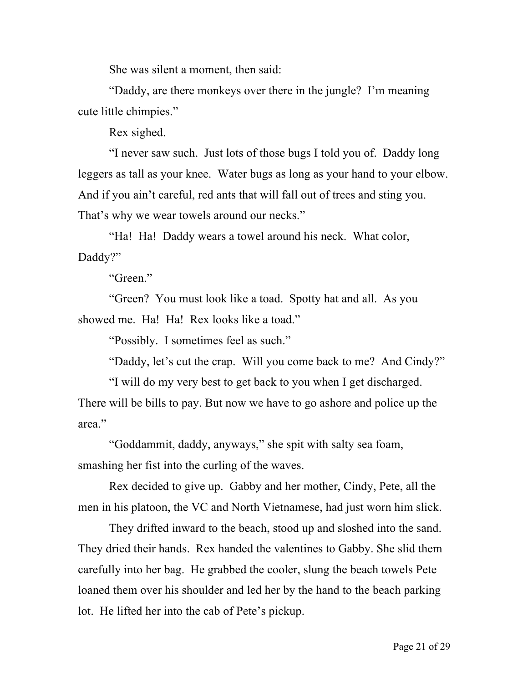She was silent a moment, then said:

"Daddy, are there monkeys over there in the jungle? I'm meaning cute little chimpies."

Rex sighed.

"I never saw such. Just lots of those bugs I told you of. Daddy long leggers as tall as your knee. Water bugs as long as your hand to your elbow. And if you ain't careful, red ants that will fall out of trees and sting you. That's why we wear towels around our necks."

"Ha! Ha! Daddy wears a towel around his neck. What color, Daddy?"

"Green."

"Green? You must look like a toad. Spotty hat and all. As you showed me. Ha! Ha! Rex looks like a toad."

"Possibly. I sometimes feel as such."

"Daddy, let's cut the crap. Will you come back to me? And Cindy?"

"I will do my very best to get back to you when I get discharged. There will be bills to pay. But now we have to go ashore and police up the area."

"Goddammit, daddy, anyways," she spit with salty sea foam, smashing her fist into the curling of the waves.

Rex decided to give up. Gabby and her mother, Cindy, Pete, all the men in his platoon, the VC and North Vietnamese, had just worn him slick.

They drifted inward to the beach, stood up and sloshed into the sand. They dried their hands. Rex handed the valentines to Gabby. She slid them carefully into her bag. He grabbed the cooler, slung the beach towels Pete loaned them over his shoulder and led her by the hand to the beach parking lot. He lifted her into the cab of Pete's pickup.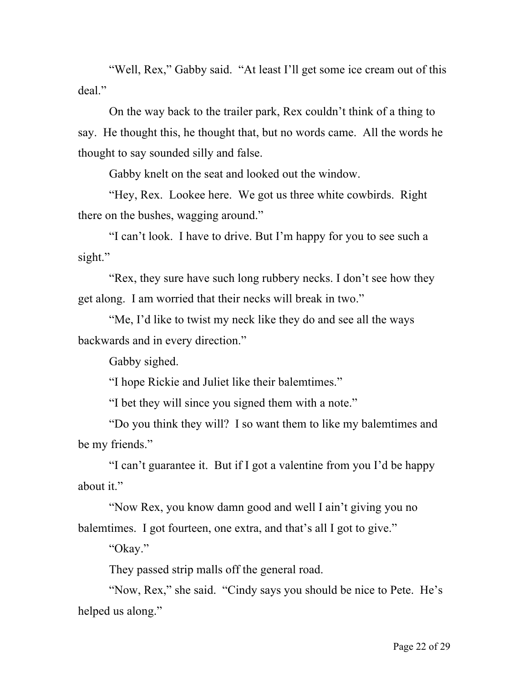"Well, Rex," Gabby said. "At least I'll get some ice cream out of this deal."

On the way back to the trailer park, Rex couldn't think of a thing to say. He thought this, he thought that, but no words came. All the words he thought to say sounded silly and false.

Gabby knelt on the seat and looked out the window.

"Hey, Rex. Lookee here. We got us three white cowbirds. Right there on the bushes, wagging around."

"I can't look. I have to drive. But I'm happy for you to see such a sight."

"Rex, they sure have such long rubbery necks. I don't see how they get along. I am worried that their necks will break in two."

"Me, I'd like to twist my neck like they do and see all the ways backwards and in every direction."

Gabby sighed.

"I hope Rickie and Juliet like their balemtimes."

"I bet they will since you signed them with a note."

"Do you think they will? I so want them to like my balemtimes and be my friends."

"I can't guarantee it. But if I got a valentine from you I'd be happy about it."

"Now Rex, you know damn good and well I ain't giving you no balemtimes. I got fourteen, one extra, and that's all I got to give."

"Okay."

They passed strip malls off the general road.

"Now, Rex," she said. "Cindy says you should be nice to Pete. He's helped us along."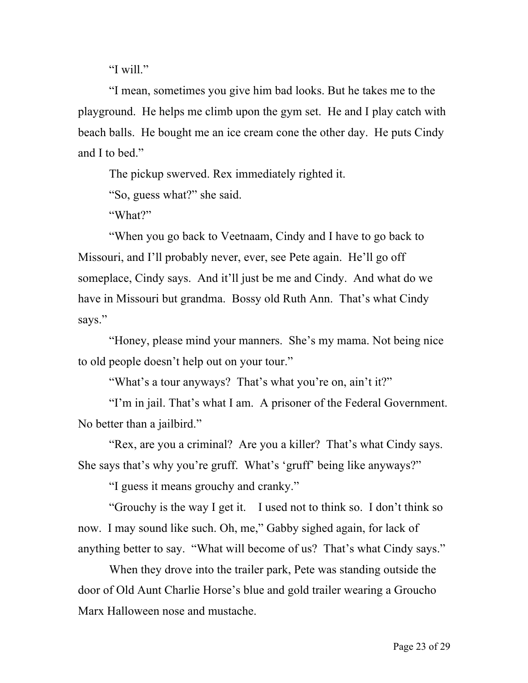"I will."

"I mean, sometimes you give him bad looks. But he takes me to the playground. He helps me climb upon the gym set. He and I play catch with beach balls. He bought me an ice cream cone the other day. He puts Cindy and I to bed."

The pickup swerved. Rex immediately righted it.

"So, guess what?" she said.

"What?"

"When you go back to Veetnaam, Cindy and I have to go back to Missouri, and I'll probably never, ever, see Pete again. He'll go off someplace, Cindy says. And it'll just be me and Cindy. And what do we have in Missouri but grandma. Bossy old Ruth Ann. That's what Cindy says."

"Honey, please mind your manners. She's my mama. Not being nice to old people doesn't help out on your tour."

"What's a tour anyways? That's what you're on, ain't it?"

"I'm in jail. That's what I am. A prisoner of the Federal Government. No better than a jailbird."

"Rex, are you a criminal? Are you a killer? That's what Cindy says. She says that's why you're gruff. What's 'gruff' being like anyways?"

"I guess it means grouchy and cranky."

"Grouchy is the way I get it. I used not to think so. I don't think so now. I may sound like such. Oh, me," Gabby sighed again, for lack of anything better to say. "What will become of us? That's what Cindy says."

When they drove into the trailer park, Pete was standing outside the door of Old Aunt Charlie Horse's blue and gold trailer wearing a Groucho Marx Halloween nose and mustache.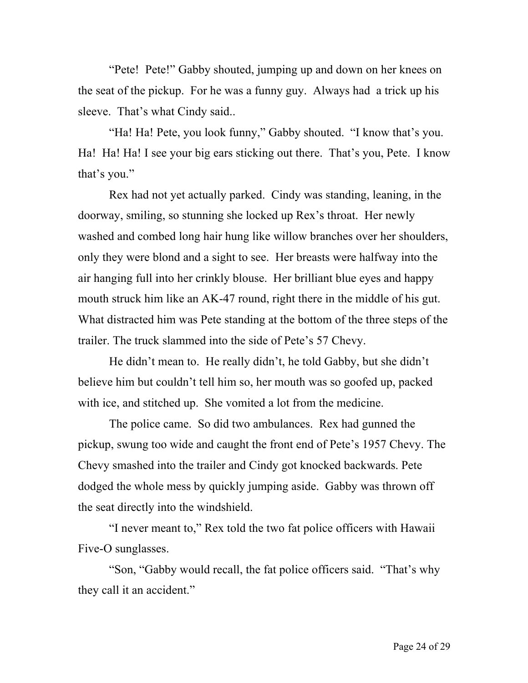"Pete! Pete!" Gabby shouted, jumping up and down on her knees on the seat of the pickup. For he was a funny guy. Always had a trick up his sleeve. That's what Cindy said..

"Ha! Ha! Pete, you look funny," Gabby shouted. "I know that's you. Ha! Ha! Ha! I see your big ears sticking out there. That's you, Pete. I know that's you."

Rex had not yet actually parked. Cindy was standing, leaning, in the doorway, smiling, so stunning she locked up Rex's throat. Her newly washed and combed long hair hung like willow branches over her shoulders, only they were blond and a sight to see. Her breasts were halfway into the air hanging full into her crinkly blouse. Her brilliant blue eyes and happy mouth struck him like an AK-47 round, right there in the middle of his gut. What distracted him was Pete standing at the bottom of the three steps of the trailer. The truck slammed into the side of Pete's 57 Chevy.

He didn't mean to. He really didn't, he told Gabby, but she didn't believe him but couldn't tell him so, her mouth was so goofed up, packed with ice, and stitched up. She vomited a lot from the medicine.

The police came. So did two ambulances. Rex had gunned the pickup, swung too wide and caught the front end of Pete's 1957 Chevy. The Chevy smashed into the trailer and Cindy got knocked backwards. Pete dodged the whole mess by quickly jumping aside. Gabby was thrown off the seat directly into the windshield.

"I never meant to," Rex told the two fat police officers with Hawaii Five-O sunglasses.

"Son, "Gabby would recall, the fat police officers said. "That's why they call it an accident."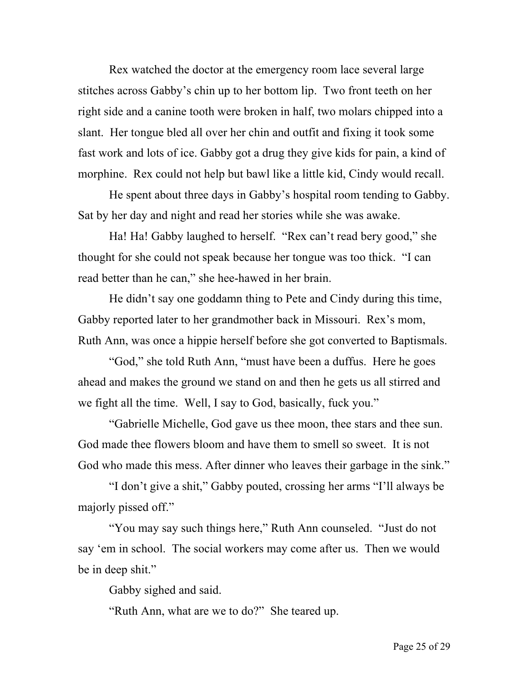Rex watched the doctor at the emergency room lace several large stitches across Gabby's chin up to her bottom lip. Two front teeth on her right side and a canine tooth were broken in half, two molars chipped into a slant. Her tongue bled all over her chin and outfit and fixing it took some fast work and lots of ice. Gabby got a drug they give kids for pain, a kind of morphine. Rex could not help but bawl like a little kid, Cindy would recall.

He spent about three days in Gabby's hospital room tending to Gabby. Sat by her day and night and read her stories while she was awake.

Ha! Ha! Gabby laughed to herself. "Rex can't read bery good," she thought for she could not speak because her tongue was too thick. "I can read better than he can," she hee-hawed in her brain.

He didn't say one goddamn thing to Pete and Cindy during this time, Gabby reported later to her grandmother back in Missouri. Rex's mom, Ruth Ann, was once a hippie herself before she got converted to Baptismals.

"God," she told Ruth Ann, "must have been a duffus. Here he goes ahead and makes the ground we stand on and then he gets us all stirred and we fight all the time. Well, I say to God, basically, fuck you."

"Gabrielle Michelle, God gave us thee moon, thee stars and thee sun. God made thee flowers bloom and have them to smell so sweet. It is not God who made this mess. After dinner who leaves their garbage in the sink."

"I don't give a shit," Gabby pouted, crossing her arms "I'll always be majorly pissed off."

"You may say such things here," Ruth Ann counseled. "Just do not say 'em in school. The social workers may come after us. Then we would be in deep shit."

Gabby sighed and said.

"Ruth Ann, what are we to do?" She teared up.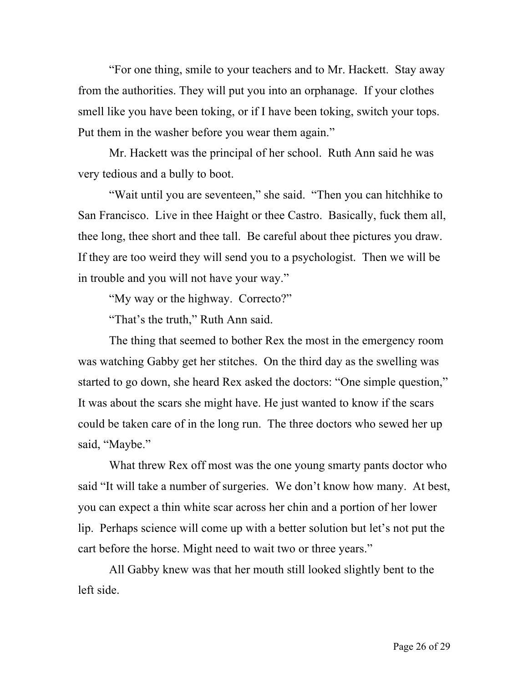"For one thing, smile to your teachers and to Mr. Hackett. Stay away from the authorities. They will put you into an orphanage. If your clothes smell like you have been toking, or if I have been toking, switch your tops. Put them in the washer before you wear them again."

Mr. Hackett was the principal of her school. Ruth Ann said he was very tedious and a bully to boot.

"Wait until you are seventeen," she said. "Then you can hitchhike to San Francisco. Live in thee Haight or thee Castro. Basically, fuck them all, thee long, thee short and thee tall. Be careful about thee pictures you draw. If they are too weird they will send you to a psychologist. Then we will be in trouble and you will not have your way."

"My way or the highway. Correcto?"

"That's the truth," Ruth Ann said.

The thing that seemed to bother Rex the most in the emergency room was watching Gabby get her stitches. On the third day as the swelling was started to go down, she heard Rex asked the doctors: "One simple question," It was about the scars she might have. He just wanted to know if the scars could be taken care of in the long run. The three doctors who sewed her up said, "Maybe."

What threw Rex off most was the one young smarty pants doctor who said "It will take a number of surgeries. We don't know how many. At best, you can expect a thin white scar across her chin and a portion of her lower lip. Perhaps science will come up with a better solution but let's not put the cart before the horse. Might need to wait two or three years."

All Gabby knew was that her mouth still looked slightly bent to the left side.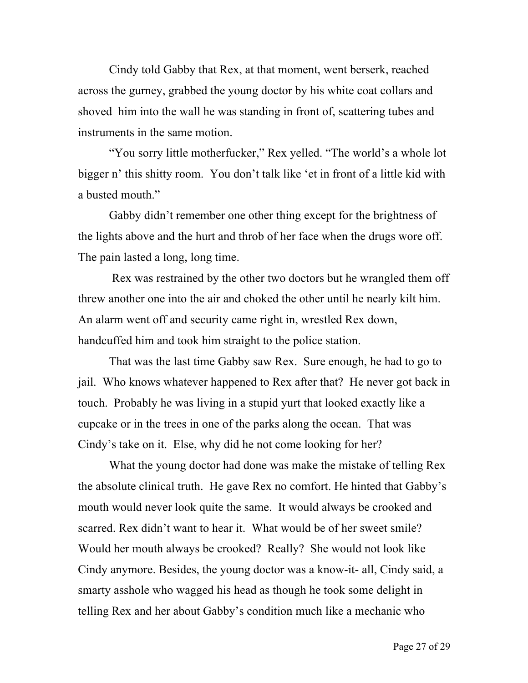Cindy told Gabby that Rex, at that moment, went berserk, reached across the gurney, grabbed the young doctor by his white coat collars and shoved him into the wall he was standing in front of, scattering tubes and instruments in the same motion.

"You sorry little motherfucker," Rex yelled. "The world's a whole lot bigger n' this shitty room. You don't talk like 'et in front of a little kid with a busted mouth."

Gabby didn't remember one other thing except for the brightness of the lights above and the hurt and throb of her face when the drugs wore off. The pain lasted a long, long time.

Rex was restrained by the other two doctors but he wrangled them off threw another one into the air and choked the other until he nearly kilt him. An alarm went off and security came right in, wrestled Rex down, handcuffed him and took him straight to the police station.

That was the last time Gabby saw Rex. Sure enough, he had to go to jail. Who knows whatever happened to Rex after that? He never got back in touch. Probably he was living in a stupid yurt that looked exactly like a cupcake or in the trees in one of the parks along the ocean. That was Cindy's take on it. Else, why did he not come looking for her?

What the young doctor had done was make the mistake of telling Rex the absolute clinical truth. He gave Rex no comfort. He hinted that Gabby's mouth would never look quite the same. It would always be crooked and scarred. Rex didn't want to hear it. What would be of her sweet smile? Would her mouth always be crooked? Really? She would not look like Cindy anymore. Besides, the young doctor was a know-it- all, Cindy said, a smarty asshole who wagged his head as though he took some delight in telling Rex and her about Gabby's condition much like a mechanic who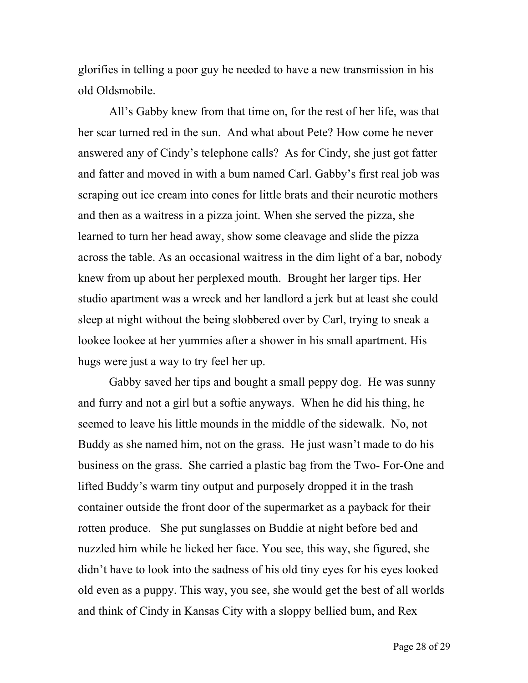glorifies in telling a poor guy he needed to have a new transmission in his old Oldsmobile.

All's Gabby knew from that time on, for the rest of her life, was that her scar turned red in the sun. And what about Pete? How come he never answered any of Cindy's telephone calls? As for Cindy, she just got fatter and fatter and moved in with a bum named Carl. Gabby's first real job was scraping out ice cream into cones for little brats and their neurotic mothers and then as a waitress in a pizza joint. When she served the pizza, she learned to turn her head away, show some cleavage and slide the pizza across the table. As an occasional waitress in the dim light of a bar, nobody knew from up about her perplexed mouth. Brought her larger tips. Her studio apartment was a wreck and her landlord a jerk but at least she could sleep at night without the being slobbered over by Carl, trying to sneak a lookee lookee at her yummies after a shower in his small apartment. His hugs were just a way to try feel her up.

Gabby saved her tips and bought a small peppy dog. He was sunny and furry and not a girl but a softie anyways. When he did his thing, he seemed to leave his little mounds in the middle of the sidewalk. No, not Buddy as she named him, not on the grass. He just wasn't made to do his business on the grass. She carried a plastic bag from the Two- For-One and lifted Buddy's warm tiny output and purposely dropped it in the trash container outside the front door of the supermarket as a payback for their rotten produce. She put sunglasses on Buddie at night before bed and nuzzled him while he licked her face. You see, this way, she figured, she didn't have to look into the sadness of his old tiny eyes for his eyes looked old even as a puppy. This way, you see, she would get the best of all worlds and think of Cindy in Kansas City with a sloppy bellied bum, and Rex